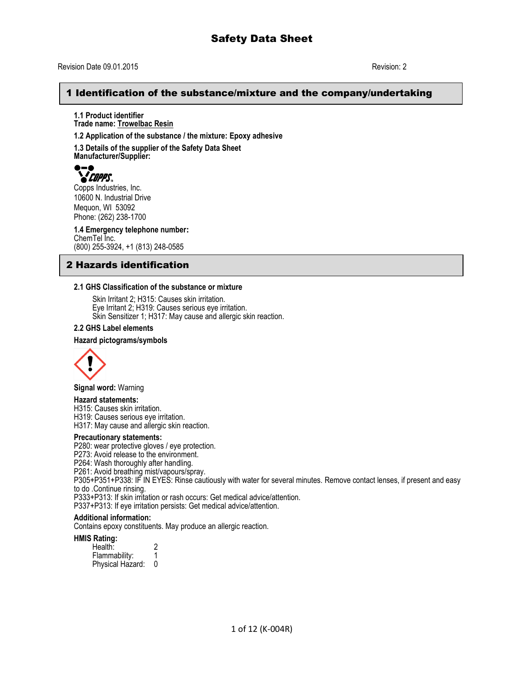## Revision Date 09.01.2015 Revision: 2

## 1 Identification of the substance/mixture and the company/undertaking

**1.1 Product identifier Trade name: Trowelbac Resin**

**1.2 Application of the substance / the mixture: Epoxy adhesive**

**1.3 Details of the supplier of the Safety Data Sheet Manufacturer/Supplier:**



Copps Industries, Inc. 10600 N. Industrial Drive Mequon, WI 53092 Phone: (262) 238-1700

**1.4 Emergency telephone number:** ChemTel Inc. (800) 255-3924, +1 (813) 248-0585

## 2 Hazards identification

### **2.1 GHS Classification of the substance or mixture**

Skin Irritant 2; H315: Causes skin irritation. Eye Irritant 2; H319: Causes serious eye irritation. Skin Sensitizer 1; H317: May cause and allergic skin reaction.

#### **2.2 GHS Label elements**

#### **Hazard pictograms/symbols**



**Signal word:** Warning

#### **Hazard statements:**

H315: Causes skin irritation.

H319: Causes serious eye irritation.

H317: May cause and allergic skin reaction.

#### **Precautionary statements:**

P280: wear protective gloves / eye protection.

P273: Avoid release to the environment.

P264: Wash thoroughly after handling.

P261: Avoid breathing mist/vapours/spray.

P305+P351+P338: IF IN EYES: Rinse cautiously with water for several minutes. Remove contact lenses, if present and easy to do .Continue rinsing.

P333+P313: If skin irritation or rash occurs: Get medical advice/attention.

P337+P313: If eye irritation persists: Get medical advice/attention.

#### **Additional information:**

Contains epoxy constituents. May produce an allergic reaction.

#### **HMIS Rating:**

Health: 2<br>Flammability: 1 Flammability: 1 Physical Hazard: 0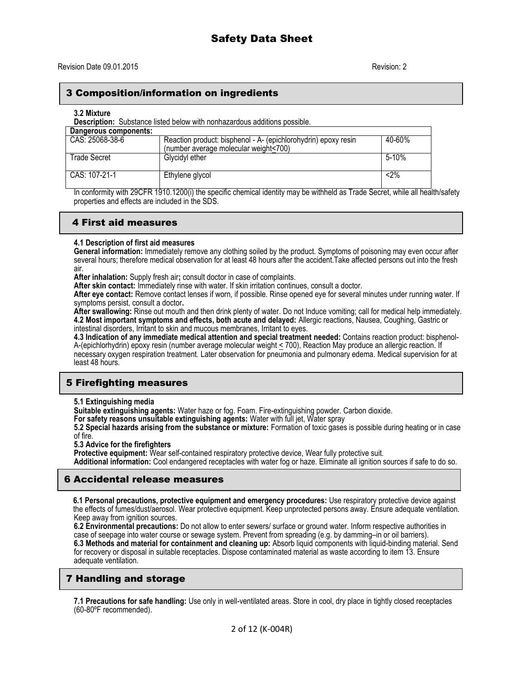## 3 Composition/information on ingredients

#### **3.2 Mixture**

**Description:** Substance listed below with nonhazardous additions possible.

| Dangerous components: |                                                                                                         |        |
|-----------------------|---------------------------------------------------------------------------------------------------------|--------|
| CAS: 25068-38-6       | Reaction product: bisphenol - A- (epichlorohydrin) epoxy resin<br>(number average molecular weight<700) | 40-60% |
| Trade Secret          | Glycidyl ether                                                                                          | 5-10%  |
| CAS: 107-21-1         | Ethylene glycol                                                                                         | $2\%$  |

In conformity with 29CFR 1910.1200(i) the specific chemical identity may be withheld as Trade Secret, while all health/safety properties and effects are included in the SDS.

## 4 First aid measures

#### **4.1 Description of first aid measures**

**General information:** Immediately remove any clothing soiled by the product. Symptoms of poisoning may even occur after several hours; therefore medical observation for at least 48 hours after the accident.Take affected persons out into the fresh air.

**After inhalation:** Supply fresh air**;** consult doctor in case of complaints.

**After skin contact:** Immediately rinse with water. If skin irritation continues, consult a doctor.

**After eye contact:** Remove contact lenses if worn, if possible. Rinse opened eye for several minutes under running water. If symptoms persist, consult a doctor**.**

**After swallowing:** Rinse out mouth and then drink plenty of water. Do not Induce vomiting; call for medical help immediately. **4.2 Most important symptoms and effects, both acute and delayed:** Allergic reactions, Nausea, Coughing, Gastric or intestinal disorders, Irritant to skin and mucous membranes, Irritant to eyes.

**4.3 Indication of any immediate medical attention and special treatment needed:** Contains reaction product: bisphenol-A-(epichlorhydrin) epoxy resin (number average molecular weight < 700), Reaction May produce an allergic reaction. If necessary oxygen respiration treatment. Later observation for pneumonia and pulmonary edema. Medical supervision for at least 48 hours.

## 5 Firefighting measures

**5.1 Extinguishing media**

**Suitable extinguishing agents:** Water haze or fog. Foam. Fire-extinguishing powder. Carbon dioxide.

**For safety reasons unsuitable extinguishing agents:** Water with full jet, Water spray

**5.2 Special hazards arising from the substance or mixture:** Formation of toxic gases is possible during heating or in case of fire.

**5.3 Advice for the firefighters**

Protective equipment: Wear self-contained respiratory protective device, Wear fully protective suit. **Additional information:** Cool endangered receptacles with water fog or haze. Eliminate all ignition sources if safe to do so.

## 6 Accidental release measures

**6.1 Personal precautions, protective equipment and emergency procedures:** Use respiratory protective device against the effects of fumes/dust/aerosol. Wear protective equipment. Keep unprotected persons away. Ensure adequate ventilation. Keep away from ignition sources.

**6.2 Environmental precautions:** Do not allow to enter sewers/ surface or ground water. Inform respective authorities in case of seepage into water course or sewage system. Prevent from spreading (e.g. by damming–in or oil barriers). **6.3 Methods and material for containment and cleaning up:** Absorb liquid components with liquid-binding material. Send for recovery or disposal in suitable receptacles. Dispose contaminated material as waste according to item 13. Ensure adequate ventilation.

## 7 Handling and storage

**7.1 Precautions for safe handling:** Use only in well-ventilated areas. Store in cool, dry place in tightly closed receptacles (60-80ºF recommended).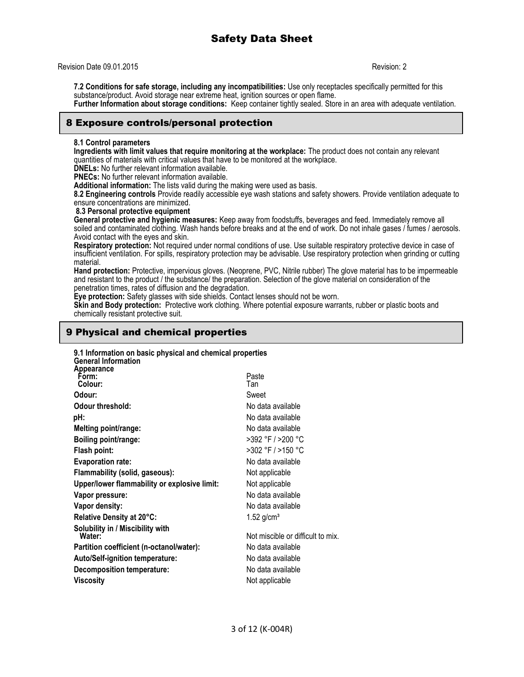Revision Date 09.01.2015 Revision: 2

**7.2 Conditions for safe storage, including any incompatibilities:** Use only receptacles specifically permitted for this substance/product. Avoid storage near extreme heat, ignition sources or open flame. **Further Information about storage conditions:** Keep container tightly sealed. Store in an area with adequate ventilation.

## 8 Exposure controls/personal protection

## **8.1 Control parameters**

**Ingredients with limit values that require monitoring at the workplace:** The product does not contain any relevant quantities of materials with critical values that have to be monitored at the workplace.

**DNELs:** No further relevant information available.

**PNECs:** No further relevant information available.

**Additional information:** The lists valid during the making were used as basis.

**8.2 Engineering controls** Provide readily accessible eye wash stations and safety showers. Provide ventilation adequate to ensure concentrations are minimized.

**8.3 Personal protective equipment**

**General protective and hygienic measures:** Keep away from foodstuffs, beverages and feed. Immediately remove all soiled and contaminated clothing. Wash hands before breaks and at the end of work. Do not inhale gases / fumes / aerosols. Avoid contact with the eyes and skin.

**Respiratory protection:** Not required under normal conditions of use. Use suitable respiratory protective device in case of insufficient ventilation. For spills, respiratory protection may be advisable. Use respiratory protection when grinding or cutting material.

**Hand protection:** Protective, impervious gloves. (Neoprene, PVC, Nitrile rubber) The glove material has to be impermeable and resistant to the product / the substance/ the preparation. Selection of the glove material on consideration of the penetration times, rates of diffusion and the degradation.

**Eye protection:** Safety glasses with side shields. Contact lenses should not be worn.

**Skin and Body protection:** Protective work clothing. Where potential exposure warrants, rubber or plastic boots and chemically resistant protective suit.

## 9 Physical and chemical properties

| 9.1 Information on basic physical and chemical properties<br><b>General Information</b> |                                   |
|-----------------------------------------------------------------------------------------|-----------------------------------|
| Appearance<br>Form:<br>Colour:                                                          | Paste<br>Tan                      |
| Odour:                                                                                  | Sweet                             |
| Odour threshold:                                                                        | No data available                 |
| pH:                                                                                     | No data available                 |
| Melting point/range:                                                                    | No data available                 |
| Boiling point/range:                                                                    | >392 °F / >200 °C                 |
| Flash point:                                                                            | >302 °F / >150 °C                 |
| <b>Evaporation rate:</b>                                                                | No data available                 |
| Flammability (solid, gaseous):                                                          | Not applicable                    |
| Upper/lower flammability or explosive limit:                                            | Not applicable                    |
| Vapor pressure:                                                                         | No data available                 |
| Vapor density:                                                                          | No data available                 |
| Relative Density at 20°C:                                                               | $1.52$ g/cm <sup>3</sup>          |
| Solubility in / Miscibility with<br>Water:                                              | Not miscible or difficult to mix. |
| Partition coefficient (n-octanol/water):                                                | No data available                 |
| <b>Auto/Self-ignition temperature:</b>                                                  | No data available                 |
| Decomposition temperature:                                                              | No data available                 |
| Viscosity                                                                               | Not applicable                    |
|                                                                                         |                                   |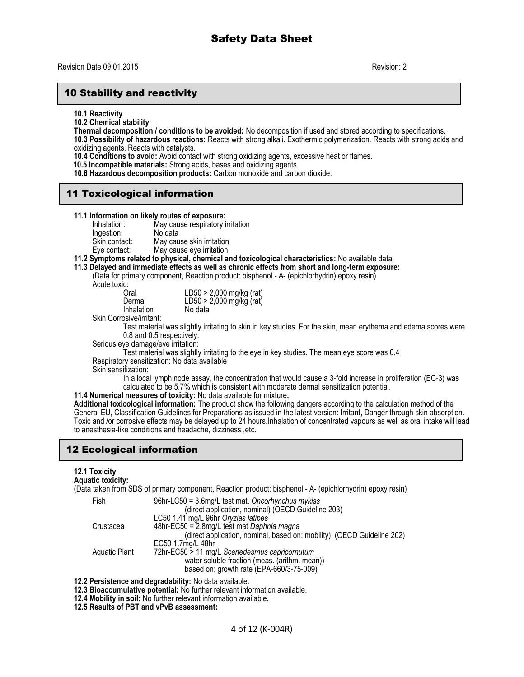## 10 Stability and reactivity

**10.1 Reactivity**

**10.2 Chemical stability**

**Thermal decomposition / conditions to be avoided:** No decomposition if used and stored according to specifications.

**10.3 Possibility of hazardous reactions:** Reacts with strong alkali. Exothermic polymerization. Reacts with strong acids and oxidizing agents. Reacts with catalysts.

**10.4 Conditions to avoid:** Avoid contact with strong oxidizing agents, excessive heat or flames.

 **10.5 Incompatible materials:** Strong acids, bases and oxidizing agents.

**10.6 Hazardous decomposition products:** Carbon monoxide and carbon dioxide.

## 11 Toxicological information

# **11.1 Information on likely routes of exposure:**

May cause respiratory irritation

| Ingestion:    | No data                   |
|---------------|---------------------------|
| Skin contact: | May cause skin irritation |
| Eye contact:  | May cause eye irritation  |

**11.2 Symptoms related to physical, chemical and toxicological characteristics:** No available data

**11.3 Delayed and immediate effects as well as chronic effects from short and long-term exposure:** 

(Data for primary component, Reaction product: bisphenol - A- (epichlorhydrin) epoxy resin)

Acute toxic:

| u.         |                          |
|------------|--------------------------|
| Oral       | LD50 > 2,000 mg/kg (rat) |
| Dermal     | LD50 > 2,000 mg/kg (rat) |
| Inhalation | No data                  |
| .          |                          |

Skin Corrosive/irritant:

Test material was slightly irritating to skin in key studies. For the skin, mean erythema and edema scores were 0.8 and 0.5 respectively.

Serious eye damage/eye irritation:

Test material was slightly irritating to the eye in key studies. The mean eye score was 0.4

Respiratory sensitization: No data available

Skin sensitization:

In a local lymph node assay, the concentration that would cause a 3-fold increase in proliferation (EC-3) was calculated to be 5.7% which is consistent with moderate dermal sensitization potential.

**11.4 Numerical measures of toxicity:** No data available for mixture**.**

**Additional toxicological information:** The product show the following dangers according to the calculation method of the General EU**,** Classification Guidelines for Preparations as issued in the latest version: Irritant**,** Danger through skin absorption. Toxic and /or corrosive effects may be delayed up to 24 hours.Inhalation of concentrated vapours as well as oral intake will lead to anesthesia-like conditions and headache, dizziness ,etc.

## 12 Ecological information

## **12.1 Toxicity**

**Aquatic toxicity:**

(Data taken from SDS of primary component, Reaction product: bisphenol - A- (epichlorhydrin) epoxy resin)

| Fish                 | $96hr$ -LC50 = 3.6mg/L test mat. Oncorhynchus mykiss                   |
|----------------------|------------------------------------------------------------------------|
|                      | (direct application, nominal) (OECD Guideline 203)                     |
|                      | LC50 1.41 mg/L 96hr Oryzias latipes                                    |
| Crustacea            | 48hr-EC50 = 2.8mg/L test mat Daphnia magna                             |
|                      | (direct application, nominal, based on: mobility) (OECD Guideline 202) |
|                      | EC50 1.7mg/L 48hr                                                      |
| <b>Aquatic Plant</b> | 72hr-EC50 > 11 mg/L Scenedesmus capricornutum                          |
|                      | water soluble fraction (meas. (arithm. mean))                          |
|                      | based on: growth rate (EPA-660/3-75-009)                               |

**12.2 Persistence and degradability:** No data available.

**12.3 Bioaccumulative potential:** No further relevant information available.

**12.4 Mobility in soil:** No further relevant information available.

**12.5 Results of PBT and vPvB assessment:**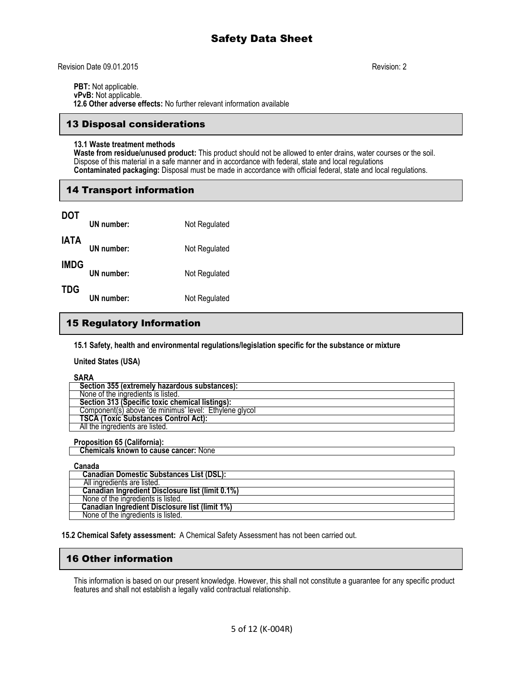Revision Date 09.01.2015 Revision: 2

**PBT:** Not applicable. **vPvB:** Not applicable.  **12.6 Other adverse effects:** No further relevant information available

## 13 Disposal considerations

#### **13.1 Waste treatment methods**

**Waste from residue/unused product:** This product should not be allowed to enter drains, water courses or the soil. Dispose of this material in a safe manner and in accordance with federal, state and local regulations **Contaminated packaging:** Disposal must be made in accordance with official federal, state and local regulations.

## 14 Transport information

| DOT         | UN number: | Not Regulated |
|-------------|------------|---------------|
| IATA        | UN number: | Not Regulated |
| <b>IMDG</b> | UN number: | Not Regulated |
| TDG         | UN number: | Not Regulated |

## 15 Regulatory Information

**15.1 Safety, health and environmental regulations/legislation specific for the substance or mixture**

**United States (USA)**

**SARA Section 355 (extremely hazardous substances):** None of the ingredients is listed.  **Section 313 (Specific toxic chemical listings):** Component(s) above 'de minimus' level: Ethylene glycol  **TSCA (Toxic Substances Control Act):** All the ingredients are listed.

#### **Proposition 65 (California):**

 **Chemicals known to cause cancer:** None

#### **Canada**

| Canadian Domestic Substances List (DSL):         |  |
|--------------------------------------------------|--|
| All ingredients are listed.                      |  |
| Canadian Ingredient Disclosure list (limit 0.1%) |  |
| None of the ingredients is listed.               |  |
| Canadian Ingredient Disclosure list (limit 1%)   |  |
| None of the ingredients is listed.               |  |

**15.2 Chemical Safety assessment:** A Chemical Safety Assessment has not been carried out.

## 16 Other information

This information is based on our present knowledge. However, this shall not constitute a guarantee for any specific product features and shall not establish a legally valid contractual relationship.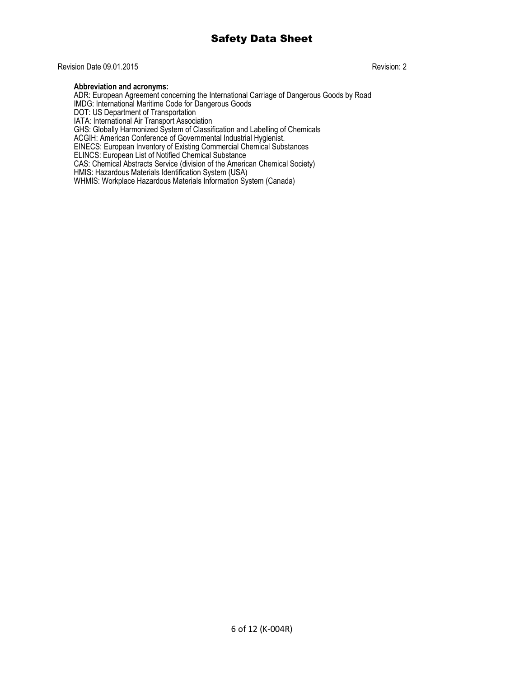## Revision Date 09.01.2015 Revision: 2

### **Abbreviation and acronyms:**

ADR: European Agreement concerning the International Carriage of Dangerous Goods by Road IMDG: International Maritime Code for Dangerous Goods DOT: US Department of Transportation IATA: International Air Transport Association GHS: Globally Harmonized System of Classification and Labelling of Chemicals ACGIH: American Conference of Governmental Industrial Hygienist. EINECS: European Inventory of Existing Commercial Chemical Substances ELINCS: European List of Notified Chemical Substance CAS: Chemical Abstracts Service (division of the American Chemical Society) HMIS: Hazardous Materials Identification System (USA) WHMIS: Workplace Hazardous Materials Information System (Canada)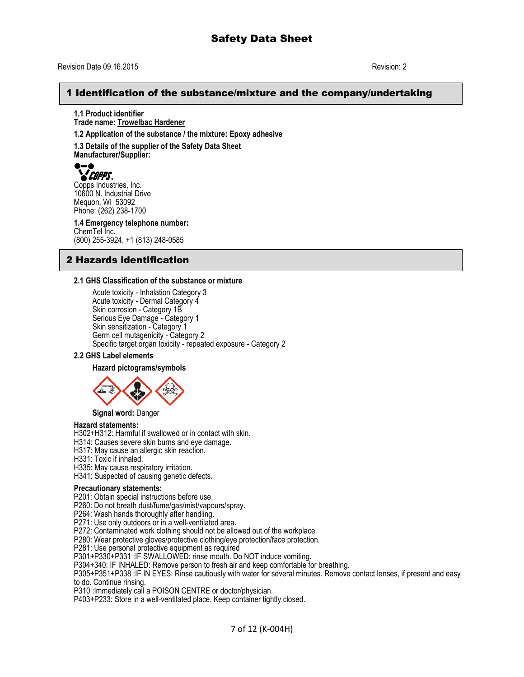#### Revision Date 09.16.2015 Revision: 2

## 1 Identification of the substance/mixture and the company/undertaking

**1.1 Product identifier Trade name: Trowelbac Hardener**

**1.2 Application of the substance / the mixture: Epoxy adhesive** 

**1.3 Details of the supplier of the Safety Data Sheet Manufacturer/Supplier:**



**COPPS**<br>Copps Industries, Inc. 10600 N. Industrial Drive Mequon, WI 53092 Phone: (262) 238-1700

**1.4 Emergency telephone number:** ChemTel Inc. (800) 255-3924, +1 (813) 248-0585

## 2 Hazards identification

#### **2.1 GHS Classification of the substance or mixture**

Acute toxicity - Inhalation Category 3 Acute toxicity - Dermal Category 4 Skin corrosion - Category 1B Serious Eye Damage - Category 1 Skin sensitization - Category 1 Germ cell mutagenicity - Category 2 Specific target organ toxicity - repeated exposure - Category 2

#### **2.2 GHS Label elements**

#### **Hazard pictograms/symbols**



**Signal word:** Danger

#### **Hazard statements:**

H302+H312: Harmful if swallowed or in contact with skin.

H314: Causes severe skin burns and eye damage.

- H317: May cause an allergic skin reaction.
- H331: Toxic if inhaled.
- H335: May cause respiratory irritation.
- H341: Suspected of causing genetic defects**.**

#### **Precautionary statements:**

P201: Obtain special instructions before use.

- P260: Do not breath dust/fume/gas/mist/vapours/spray.
- P264: Wash hands thoroughly after handling.

P271: Use only outdoors or in a well-ventilated area.

P272: Contaminated work clothing should not be allowed out of the workplace.

P280: Wear protective gloves/protective clothing/eye protection/face protection.

P281: Use personal protective equipment as required

P301+P330+P331 :IF SWALLOWED: rinse mouth. Do NOT induce vomiting.

P304+340: IF INHALED: Remove person to fresh air and keep comfortable for breathing.

P305+P351+P338 :IF IN EYES: Rinse cautiously with water for several minutes. Remove contact lenses, if present and easy

to do. Continue rinsing.

P310 : Immediately call a POISON CENTRE or doctor/physician.

P403+P233: Store in a well-ventilated place. Keep container tightly closed.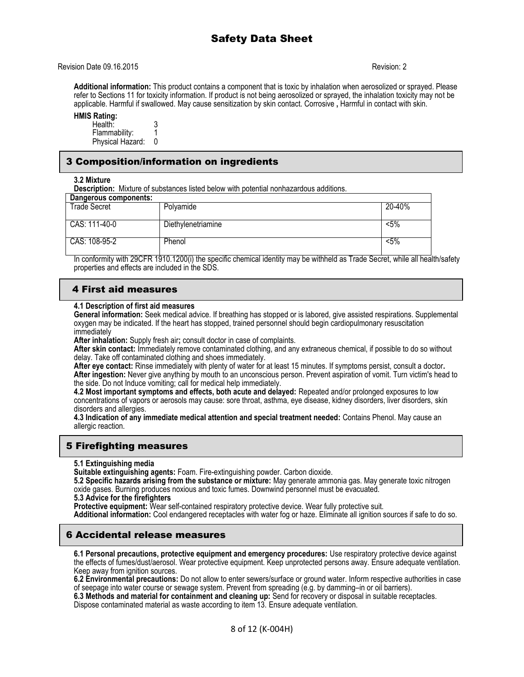Revision Date 09.16.2015 Revision: 2

**Additional information:** This product contains a component that is toxic by inhalation when aerosolized or sprayed. Please refer to Sections 11 for toxicity information. If product is not being aerosolized or sprayed, the inhalation toxicity may not be applicable. Harmful if swallowed. May cause sensitization by skin contact. Corrosive **,** Harmful in contact with skin.

## **HMIS Rating:**

Health: 3<br>Flammability: 1 Flammability: 1<br>Physical Hazard: 0 Physical Hazard:

## 3 Composition/information on ingredients

**3.2 Mixture**

**Description:** Mixture of substances listed below with potential nonhazardous additions.

| Dangerous components: |                    |         |
|-----------------------|--------------------|---------|
| <b>Trade Secret</b>   | Polyamide          | 20-40%  |
|                       |                    |         |
| CAS: 111-40-0         | Diethylenetriamine | $< 5\%$ |
|                       |                    |         |
| CAS: 108-95-2         | Phenol             | $< 5\%$ |
|                       |                    |         |

In conformity with 29CFR 1910.1200(i) the specific chemical identity may be withheld as Trade Secret, while all health/safety properties and effects are included in the SDS.

## 4 First aid measures

### **4.1 Description of first aid measures**

**General information:** Seek medical advice. If breathing has stopped or is labored, give assisted respirations. Supplemental oxygen may be indicated. If the heart has stopped, trained personnel should begin cardiopulmonary resuscitation immediately

**After inhalation:** Supply fresh air**;** consult doctor in case of complaints.

**After skin contact:** Immediately remove contaminated clothing, and any extraneous chemical, if possible to do so without delay. Take off contaminated clothing and shoes immediately.

**After eye contact:** Rinse immediately with plenty of water for at least 15 minutes. If symptoms persist, consult a doctor**. After ingestion:** Never give anything by mouth to an unconscious person. Prevent aspiration of vomit. Turn victim's head to the side. Do not Induce vomiting; call for medical help immediately.

**4.2 Most important symptoms and effects, both acute and delayed:** Repeated and/or prolonged exposures to low concentrations of vapors or aerosols may cause: sore throat, asthma, eye disease, kidney disorders, liver disorders, skin disorders and allergies.

**4.3 Indication of any immediate medical attention and special treatment needed:** Contains Phenol. May cause an allergic reaction.

## 5 Firefighting measures

#### **5.1 Extinguishing media**

**Suitable extinguishing agents:** Foam. Fire-extinguishing powder. Carbon dioxide.

**5.2 Specific hazards arising from the substance or mixture:** May generate ammonia gas. May generate toxic nitrogen oxide gases. Burning produces noxious and toxic fumes. Downwind personnel must be evacuated.

**5.3 Advice for the firefighters**

**Protective equipment:** Wear self-contained respiratory protective device. Wear fully protective suit.

**Additional information:** Cool endangered receptacles with water fog or haze. Eliminate all ignition sources if safe to do so.

## 6 Accidental release measures

**6.1 Personal precautions, protective equipment and emergency procedures:** Use respiratory protective device against the effects of fumes/dust/aerosol. Wear protective equipment. Keep unprotected persons away. Ensure adequate ventilation. Keep away from ignition sources.

**6.2 Environmental precautions:** Do not allow to enter sewers/surface or ground water. Inform respective authorities in case of seepage into water course or sewage system. Prevent from spreading (e.g. by damming–in or oil barriers).

**6.3 Methods and material for containment and cleaning up:** Send for recovery or disposal in suitable receptacles. Dispose contaminated material as waste according to item 13. Ensure adequate ventilation.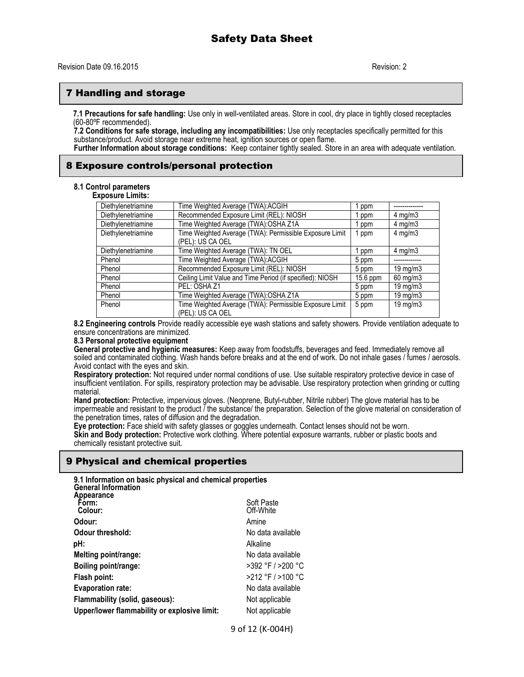## 7 Handling and storage

**7.1 Precautions for safe handling:** Use only in well-ventilated areas. Store in cool, dry place in tightly closed receptacles (60-80ºF recommended).

**7.2 Conditions for safe storage, including any incompatibilities:** Use only receptacles specifically permitted for this substance/product. Avoid storage near extreme heat, ignition sources or open flame.

**Further Information about storage conditions:** Keep container tightly sealed. Store in an area with adequate ventilation.

## 8 Exposure controls/personal protection

### **8.1 Control parameters**

| <b>Exposure Limits:</b> |                                                                             |            |                   |
|-------------------------|-----------------------------------------------------------------------------|------------|-------------------|
| Diethylenetriamine      | Time Weighted Average (TWA):ACGIH                                           | ppm        |                   |
| Diethylenetriamine      | Recommended Exposure Limit (REL): NIOSH                                     | ppm        | $4 \text{ mg/m}$  |
| Diethylenetriamine      | Time Weighted Average (TWA):OSHA Z1A                                        | ppm        | $4 \text{ mg/m}$  |
| Diethylenetriamine      | Time Weighted Average (TWA): Permissible Exposure Limit<br>(PEL): US CA OEL | ppm        | $4 \text{ mg/m}$  |
| Diethylenetriamine      | Time Weighted Average (TWA): TN OEL                                         | ppm        | $4 \text{ mg/m}$  |
| Phenol                  | Time Weighted Average (TWA):ACGIH                                           | 5 ppm      |                   |
| Phenol                  | Recommended Exposure Limit (REL): NIOSH                                     | 5 ppm      | 19 mg/m $3$       |
| Phenol                  | Ceiling Limit Value and Time Period (if specified): NIOSH                   | $15.6$ ppm | $60$ mg/m $3$     |
| Phenol                  | PEL: OSHA Z1                                                                | 5 ppm      | $19 \text{ mg/m}$ |
| Phenol                  | Time Weighted Average (TWA):OSHA Z1A                                        | 5 ppm      | $19 \text{ mg/m}$ |
| Phenol                  | Time Weighted Average (TWA): Permissible Exposure Limit<br>(PEL): US CA OEL | 5 ppm      | 19 mg/m $3$       |

**8.2 Engineering controls** Provide readily accessible eye wash stations and safety showers. Provide ventilation adequate to ensure concentrations are minimized.

#### **8.3 Personal protective equipment**

**General protective and hygienic measures:** Keep away from foodstuffs, beverages and feed. Immediately remove all soiled and contaminated clothing. Wash hands before breaks and at the end of work. Do not inhale gases / fumes / aerosols. Avoid contact with the eyes and skin.

**Respiratory protection:** Not required under normal conditions of use. Use suitable respiratory protective device in case of insufficient ventilation. For spills, respiratory protection may be advisable. Use respiratory protection when grinding or cutting material.

**Hand protection:** Protective, impervious gloves. (Neoprene, Butyl-rubber, Nitrile rubber) The glove material has to be impermeable and resistant to the product / the substance/ the preparation. Selection of the glove material on consideration of the penetration times, rates of diffusion and the degradation.

**Eye protection:** Face shield with safety glasses or goggles underneath. Contact lenses should not be worn. **Skin and Body protection:** Protective work clothing. Where potential exposure warrants, rubber or plastic boots and chemically resistant protective suit.

#### 9 Physical and chemical properties

| 9.1 Information on basic physical and chemical properties<br><b>General Information</b> |                   |
|-----------------------------------------------------------------------------------------|-------------------|
| Appearance<br>Form:                                                                     | Soft Paste        |
| Colour:                                                                                 | Off-White         |
| Odour:                                                                                  | Amine             |
| Odour threshold:                                                                        | No data available |
| pH:                                                                                     | Alkaline          |
| Melting point/range:                                                                    | No data available |
| Boiling point/range:                                                                    | >392 °F / >200 °C |
| Flash point:                                                                            | >212 °F / >100 °C |
| <b>Evaporation rate:</b>                                                                | No data available |
| Flammability (solid, gaseous):                                                          | Not applicable    |
| Upper/lower flammability or explosive limit:                                            | Not applicable    |
|                                                                                         |                   |

9 of 12 (K-004H)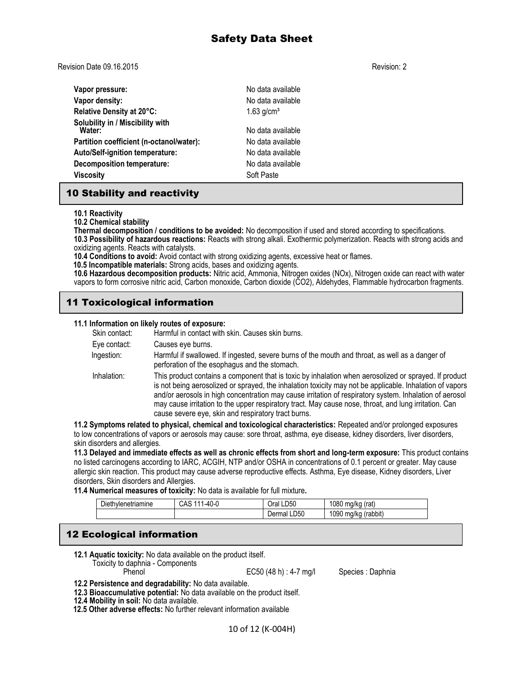Revision Date 09.16.2015 Revision: 2

| Vapor pressure:                            | No data available        |
|--------------------------------------------|--------------------------|
| Vapor density:                             | No data available        |
| Relative Density at 20°C:                  | $1.63$ g/cm <sup>3</sup> |
| Solubility in / Miscibility with<br>Water: | No data available        |
| Partition coefficient (n-octanol/water):   | No data available        |
| Auto/Self-ignition temperature:            | No data available        |
| Decomposition temperature:                 | No data available        |
| <b>Viscosity</b>                           | Soft Paste               |

## 10 Stability and reactivity

**10.1 Reactivity**

**10.2 Chemical stability**

**Thermal decomposition / conditions to be avoided:** No decomposition if used and stored according to specifications. **10.3 Possibility of hazardous reactions:** Reacts with strong alkali. Exothermic polymerization. Reacts with strong acids and oxidizing agents. Reacts with catalysts.

**10.4 Conditions to avoid:** Avoid contact with strong oxidizing agents, excessive heat or flames.

 **10.5 Incompatible materials:** Strong acids, bases and oxidizing agents.

**10.6 Hazardous decomposition products:** Nitric acid, Ammonia, Nitrogen oxides (NOx), Nitrogen oxide can react with water vapors to form corrosive nitric acid, Carbon monoxide, Carbon dioxide (CO2), Aldehydes, Flammable hydrocarbon fragments.

## 11 Toxicological information

## **11.1 Information on likely routes of exposure:**

| Skin contact: | Harmful in contact with skin. Causes skin burns.                                                                                                                                                                                                                                                                                                                                                                                                                                             |
|---------------|----------------------------------------------------------------------------------------------------------------------------------------------------------------------------------------------------------------------------------------------------------------------------------------------------------------------------------------------------------------------------------------------------------------------------------------------------------------------------------------------|
| Eye contact:  | Causes eye burns.                                                                                                                                                                                                                                                                                                                                                                                                                                                                            |
| Ingestion:    | Harmful if swallowed. If ingested, severe burns of the mouth and throat, as well as a danger of<br>perforation of the esophagus and the stomach.                                                                                                                                                                                                                                                                                                                                             |
| Inhalation:   | This product contains a component that is toxic by inhalation when aerosolized or sprayed. If product<br>is not being aerosolized or sprayed, the inhalation toxicity may not be applicable. Inhalation of vapors<br>and/or aerosols in high concentration may cause irritation of respiratory system. Inhalation of aerosol<br>may cause irritation to the upper respiratory tract. May cause nose, throat, and lung irritation. Can<br>cause severe eye, skin and respiratory tract burns. |
|               |                                                                                                                                                                                                                                                                                                                                                                                                                                                                                              |

**11.2 Symptoms related to physical, chemical and toxicological characteristics:** Repeated and/or prolonged exposures to low concentrations of vapors or aerosols may cause: sore throat, asthma, eye disease, kidney disorders, liver disorders, skin disorders and allergies.

**11.3 Delayed and immediate effects as well as chronic effects from short and long-term exposure:** This product contains no listed carcinogens according to IARC, ACGIH, NTP and/or OSHA in concentrations of 0.1 percent or greater. May cause allergic skin reaction. This product may cause adverse reproductive effects. Asthma, Eye disease, Kidney disorders, Liver disorders, Skin disorders and Allergies.

**11.4 Numerical measures of toxicity:** No data is available for full mixture**.** 

| ÷.<br>$D$ iethvlenetriamine | .100<br>ີ <sup>1</sup> -4()-ເ.<br>UAC | LD50<br>Oral   | 1080<br>(rat)<br>ma/ka    |
|-----------------------------|---------------------------------------|----------------|---------------------------|
|                             |                                       | LD50<br>Dermal | 1090<br>(rabbit)<br>ma/ka |

## 12 Ecological information

**12.1 Aquatic toxicity:** No data available on the product itself. Toxicity to daphnia - Components

EC50 (48 h) : 4-7 mg/l Species : Daphnia

- **12.2 Persistence and degradability:** No data available.
- **12.3 Bioaccumulative potential:** No data available on the product itself.
- **12.4 Mobility in soil:** No data available.

 **12.5 Other adverse effects:** No further relevant information available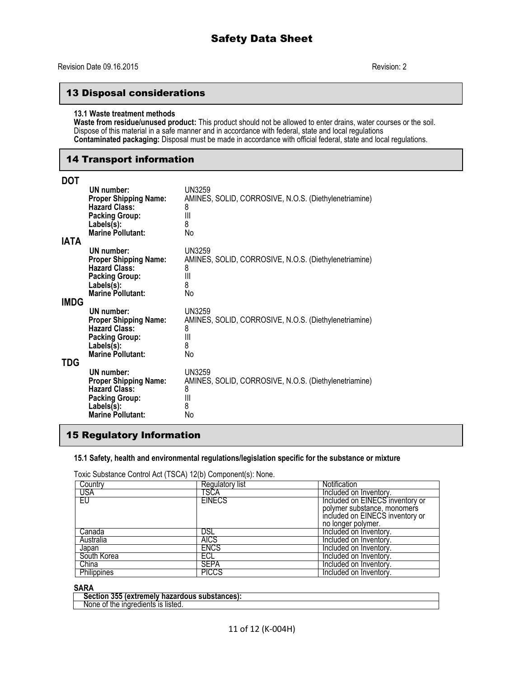## 13 Disposal considerations

#### **13.1 Waste treatment methods**

**Waste from residue/unused product:** This product should not be allowed to enter drains, water courses or the soil. Dispose of this material in a safe manner and in accordance with federal, state and local regulations **Contaminated packaging:** Disposal must be made in accordance with official federal, state and local regulations.

## 14 Transport information

| <b>DOT</b> |                                                                                                                                          |                                                                                             |
|------------|------------------------------------------------------------------------------------------------------------------------------------------|---------------------------------------------------------------------------------------------|
| IATA       | UN number:<br><b>Proper Shipping Name:</b><br><b>Hazard Class:</b><br><b>Packing Group:</b><br>Labels(s):<br><b>Marine Pollutant:</b>    | UN3259<br>AMINES, SOLID, CORROSIVE, N.O.S. (Diethylenetriamine)<br>8<br>Ш<br>8<br>No        |
| IMDG       | UN number:<br><b>Proper Shipping Name:</b><br><b>Hazard Class:</b><br><b>Packing Group:</b><br>Labels(s):<br><b>Marine Pollutant:</b>    | UN3259<br>AMINES, SOLID, CORROSIVE, N.O.S. (Diethylenetriamine)<br>8<br>Ш<br>8<br>No        |
| TDG        | UN number:<br><b>Proper Shipping Name:</b><br><b>Hazard Class:</b><br><b>Packing Group:</b><br>$Labels(s)$ :<br><b>Marine Pollutant:</b> | <b>UN3259</b><br>AMINES, SOLID, CORROSIVE, N.O.S. (Diethylenetriamine)<br>8<br>Ш<br>8<br>No |
|            | UN number:<br><b>Proper Shipping Name:</b><br><b>Hazard Class:</b><br><b>Packing Group:</b><br>Labels(s):<br><b>Marine Pollutant:</b>    | <b>UN3259</b><br>AMINES, SOLID, CORROSIVE, N.O.S. (Diethylenetriamine)<br>8<br>Ш<br>8<br>No |

## 15 Regulatory Information

#### **15.1 Safety, health and environmental regulations/legislation specific for the substance or mixture**

Toxic Substance Control Act (TSCA) 12(b) Component(s): None.

| Country     | Regulatory list | Notification                    |
|-------------|-----------------|---------------------------------|
| USA         | TSCA            | Included on Inventory.          |
| EU          | <b>EINECS</b>   | Included on EINECS inventory or |
|             |                 | polymer substance, monomers     |
|             |                 | included on EINECS inventory or |
|             |                 | no longer polymer.              |
| Canada      | DSL             | Included on Inventory.          |
| Australia   | <b>AICS</b>     | Included on Inventory.          |
| Japan       | <b>ENCS</b>     | Included on Inventory.          |
| South Korea | ECL             | Included on Inventory.          |
| China       | <b>SEPA</b>     | Included on Inventory.          |
| Philippines | <b>PICCS</b>    | Included on Inventory.          |

## **SARA**

| -355-<br>------<br>lous substances):<br>ction:<br><b>extremely</b><br>· nazaroous ·<br>. Ste |  |
|----------------------------------------------------------------------------------------------|--|
| listed.<br>IS<br>None<br>0t<br>me<br>lnare<br>eoremis                                        |  |